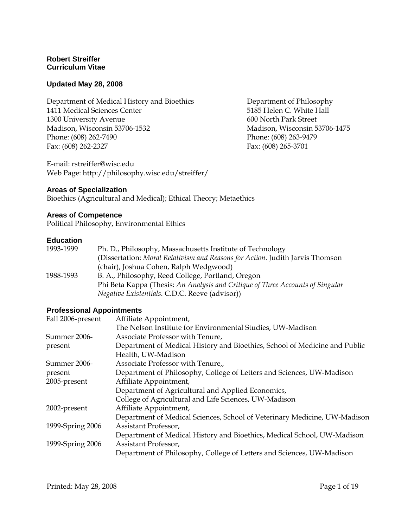### **Robert Streiffer Curriculum Vitae**

#### **Updated May 28, 2008**

Department of Medical History and Bioethics 1411 Medical Sciences Center 1300 University Avenue Madison, Wisconsin 53706-1532 Phone: (608) 262-7490 Fax: (608) 262-2327

E-mail: rstreiffer@wisc.edu Web Page: http://philosophy.wisc.edu/streiffer/

#### **Areas of Specialization**

Bioethics (Agricultural and Medical); Ethical Theory; Metaethics

#### **Areas of Competence**

Political Philosophy, Environmental Ethics

#### **Education**

| 1993-1999 | Ph. D., Philosophy, Massachusetts Institute of Technology                      |
|-----------|--------------------------------------------------------------------------------|
|           | (Dissertation: Moral Relativism and Reasons for Action. Judith Jarvis Thomson  |
|           | (chair), Joshua Cohen, Ralph Wedgwood)                                         |
| 1988-1993 | B. A., Philosophy, Reed College, Portland, Oregon                              |
|           | Phi Beta Kappa (Thesis: An Analysis and Critique of Three Accounts of Singular |
|           | <i>Negative Existentials. C.D.C. Reeve (advisor))</i>                          |

#### **Professional Appointments**

| Fall 2006-present | Affiliate Appointment,                                                     |
|-------------------|----------------------------------------------------------------------------|
|                   | The Nelson Institute for Environmental Studies, UW-Madison                 |
| Summer 2006-      | Associate Professor with Tenure,                                           |
| present           | Department of Medical History and Bioethics, School of Medicine and Public |
|                   | Health, UW-Madison                                                         |
| Summer 2006-      | Associate Professor with Tenure,                                           |
| present           | Department of Philosophy, College of Letters and Sciences, UW-Madison      |
| 2005-present      | Affiliate Appointment,                                                     |
|                   | Department of Agricultural and Applied Economics,                          |
|                   | College of Agricultural and Life Sciences, UW-Madison                      |
| 2002-present      | Affiliate Appointment,                                                     |
|                   | Department of Medical Sciences, School of Veterinary Medicine, UW-Madison  |
| 1999-Spring 2006  | Assistant Professor,                                                       |
|                   | Department of Medical History and Bioethics, Medical School, UW-Madison    |
| 1999-Spring 2006  | Assistant Professor,                                                       |
|                   | Department of Philosophy, College of Letters and Sciences, UW-Madison      |

Department of Philosophy 5185 Helen C. White Hall 600 North Park Street Madison, Wisconsin 53706-1475 Phone: (608) 263-9479 Fax: (608) 265-3701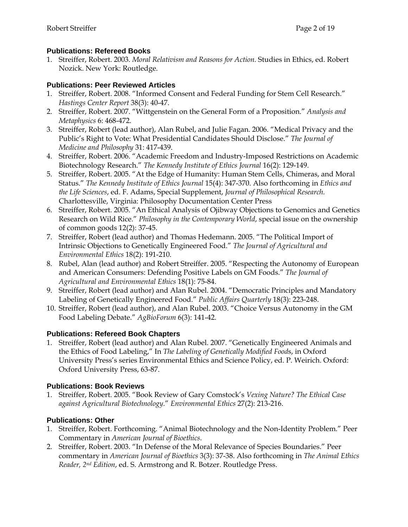### **Publications: Refereed Books**

1. Streiffer, Robert. 2003. *Moral Relativism and Reasons for Action.* Studies in Ethics, ed. Robert Nozick. New York: Routledge.

### **Publications: Peer Reviewed Articles**

- 1. Streiffer, Robert. 2008. "Informed Consent and Federal Funding for Stem Cell Research." *Hastings Center Report* 38(3): 40-47.
- 2. Streiffer, Robert. 2007. "Wittgenstein on the General Form of a Proposition." *Analysis and Metaphysics* 6: 468-472.
- 3. Streiffer, Robert (lead author), Alan Rubel, and Julie Fagan. 2006. "Medical Privacy and the Public's Right to Vote: What Presidential Candidates Should Disclose." *The Journal of Medicine and Philosophy* 31: 417-439.
- 4. Streiffer, Robert. 2006. "Academic Freedom and Industry-Imposed Restrictions on Academic Biotechnology Research." *The Kennedy Institute of Ethics Journal* 16(2): 129-149.
- 5. Streiffer, Robert. 2005. "At the Edge of Humanity: Human Stem Cells, Chimeras, and Moral Status." *The Kennedy Institute of Ethics Journal* 15(4): 347-370. Also forthcoming in *Ethics and the Life Sciences*, ed. F. Adams, Special Supplement, *Journal of Philosophical Research.* Charlottesville, Virginia: Philosophy Documentation Center Press
- 6. Streiffer, Robert. 2005. "An Ethical Analysis of Ojibway Objections to Genomics and Genetics Research on Wild Rice." *Philosophy in the Contemporary World*, special issue on the ownership of common goods 12(2): 37-45.
- 7. Streiffer, Robert (lead author) and Thomas Hedemann. 2005. "The Political Import of Intrinsic Objections to Genetically Engineered Food." *The Journal of Agricultural and Environmental Ethics* 18(2): 191-210.
- 8. Rubel, Alan (lead author) and Robert Streiffer. 2005. "Respecting the Autonomy of European and American Consumers: Defending Positive Labels on GM Foods." *The Journal of Agricultural and Environmental Ethics* 18(1): 75-84.
- 9. Streiffer, Robert (lead author) and Alan Rubel. 2004. "Democratic Principles and Mandatory Labeling of Genetically Engineered Food." *Public Affairs Quarterly* 18(3): 223-248.
- 10. Streiffer, Robert (lead author), and Alan Rubel. 2003. "Choice Versus Autonomy in the GM Food Labeling Debate." *AgBioForum* 6(3): 141-42.

### **Publications: Refereed Book Chapters**

1. Streiffer, Robert (lead author) and Alan Rubel. 2007. "Genetically Engineered Animals and the Ethics of Food Labeling," In *The Labeling of Genetically Modified Food*s, in Oxford University Press's series Environmental Ethics and Science Policy, ed. P. Weirich. Oxford: Oxford University Press, 63-87.

### **Publications: Book Reviews**

1. Streiffer, Robert. 2005. "Book Review of Gary Comstock's *Vexing Nature? The Ethical Case against Agricultural Biotechnology*." *Environmental Ethics* 27(2): 213-216.

### **Publications: Other**

- 1. Streiffer, Robert. Forthcoming. "Animal Biotechnology and the Non-Identity Problem." Peer Commentary in *American Journal of Bioethics*.
- 2. Streiffer, Robert. 2003. "In Defense of the Moral Relevance of Species Boundaries." Peer commentary in *American Journal of Bioethics* 3(3): 37-38. Also forthcoming in *The Animal Ethics Reader, 2nd Edition*, ed. S. Armstrong and R. Botzer. Routledge Press.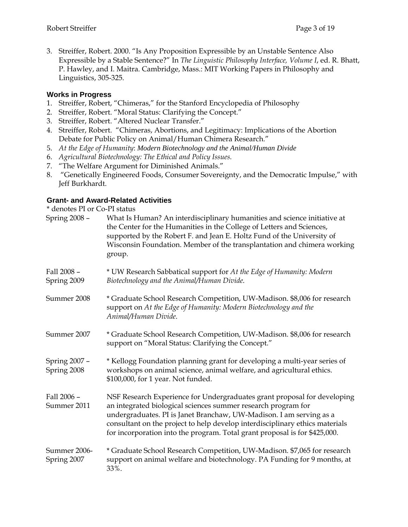3. Streiffer, Robert. 2000. "Is Any Proposition Expressible by an Unstable Sentence Also Expressible by a Stable Sentence?" In *The Linguistic Philosophy Interface, Volume I*, ed. R. Bhatt, P. Hawley, and I. Maitra. Cambridge, Mass.: MIT Working Papers in Philosophy and Linguistics, 305-325.

### **Works in Progress**

- 1. Streiffer, Robert, "Chimeras," for the Stanford Encyclopedia of Philosophy
- 2. Streiffer, Robert. "Moral Status: Clarifying the Concept."
- 3. Streiffer, Robert. "Altered Nuclear Transfer."
- 4. Streiffer, Robert. "Chimeras, Abortions, and Legitimacy: Implications of the Abortion Debate for Public Policy on Animal/Human Chimera Research."
- 5. *At the Edge of Humanity*: *Modern Biotechnology and the Animal/Human Divide*
- 6. *Agricultural Biotechnology: The Ethical and Policy Issues.*
- 7. "The Welfare Argument for Diminished Animals."
- 8. "Genetically Engineered Foods, Consumer Sovereignty, and the Democratic Impulse," with Jeff Burkhardt.

### **Grant- and Award-Related Activities**

\* denotes PI or Co-PI status

| Spring 2008 -                | What Is Human? An interdisciplinary humanities and science initiative at<br>the Center for the Humanities in the College of Letters and Sciences,<br>supported by the Robert F. and Jean E. Holtz Fund of the University of<br>Wisconsin Foundation. Member of the transplantation and chimera working<br>group.                                                               |
|------------------------------|--------------------------------------------------------------------------------------------------------------------------------------------------------------------------------------------------------------------------------------------------------------------------------------------------------------------------------------------------------------------------------|
| Fall 2008 -<br>Spring 2009   | * UW Research Sabbatical support for At the Edge of Humanity: Modern<br>Biotechnology and the Animal/Human Divide.                                                                                                                                                                                                                                                             |
| Summer 2008                  | * Graduate School Research Competition, UW-Madison. \$8,006 for research<br>support on At the Edge of Humanity: Modern Biotechnology and the<br>Animal/Human Divide.                                                                                                                                                                                                           |
| Summer 2007                  | * Graduate School Research Competition, UW-Madison. \$8,006 for research<br>support on "Moral Status: Clarifying the Concept."                                                                                                                                                                                                                                                 |
| Spring 2007 -<br>Spring 2008 | * Kellogg Foundation planning grant for developing a multi-year series of<br>workshops on animal science, animal welfare, and agricultural ethics.<br>\$100,000, for 1 year. Not funded.                                                                                                                                                                                       |
| Fall 2006 -<br>Summer 2011   | NSF Research Experience for Undergraduates grant proposal for developing<br>an integrated biological sciences summer research program for<br>undergraduates. PI is Janet Branchaw, UW-Madison. I am serving as a<br>consultant on the project to help develop interdisciplinary ethics materials<br>for incorporation into the program. Total grant proposal is for \$425,000. |
| Summer 2006-<br>Spring 2007  | * Graduate School Research Competition, UW-Madison. \$7,065 for research<br>support on animal welfare and biotechnology. PA Funding for 9 months, at<br>33%.                                                                                                                                                                                                                   |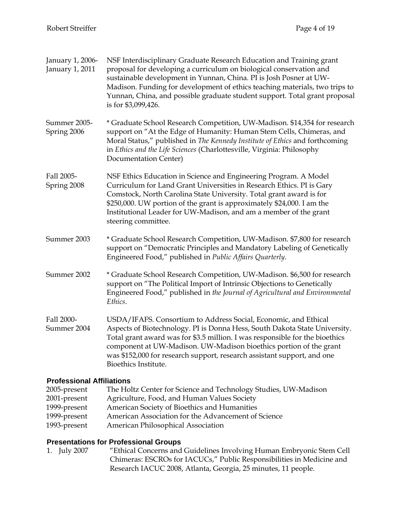| January 1, 2006-<br>January 1, 2011 | NSF Interdisciplinary Graduate Research Education and Training grant<br>proposal for developing a curriculum on biological conservation and<br>sustainable development in Yunnan, China. PI is Josh Posner at UW-<br>Madison. Funding for development of ethics teaching materials, two trips to<br>Yunnan, China, and possible graduate student support. Total grant proposal<br>is for \$3,099,426.  |  |  |
|-------------------------------------|--------------------------------------------------------------------------------------------------------------------------------------------------------------------------------------------------------------------------------------------------------------------------------------------------------------------------------------------------------------------------------------------------------|--|--|
| Summer 2005-<br>Spring 2006         | * Graduate School Research Competition, UW-Madison. \$14,354 for research<br>support on "At the Edge of Humanity: Human Stem Cells, Chimeras, and<br>Moral Status," published in The Kennedy Institute of Ethics and forthcoming<br>in Ethics and the Life Sciences (Charlottesville, Virginia: Philosophy<br>Documentation Center)                                                                    |  |  |
| Fall 2005-<br>Spring 2008           | NSF Ethics Education in Science and Engineering Program. A Model<br>Curriculum for Land Grant Universities in Research Ethics. PI is Gary<br>Comstock, North Carolina State University. Total grant award is for<br>\$250,000. UW portion of the grant is approximately \$24,000. I am the<br>Institutional Leader for UW-Madison, and am a member of the grant<br>steering committee.                 |  |  |
| Summer 2003                         | * Graduate School Research Competition, UW-Madison. \$7,800 for research<br>support on "Democratic Principles and Mandatory Labeling of Genetically<br>Engineered Food," published in Public Affairs Quarterly.                                                                                                                                                                                        |  |  |
| Summer 2002                         | * Graduate School Research Competition, UW-Madison. \$6,500 for research<br>support on "The Political Import of Intrinsic Objections to Genetically<br>Engineered Food," published in the Journal of Agricultural and Environmental<br>Ethics.                                                                                                                                                         |  |  |
| Fall 2000-<br>Summer 2004           | USDA/IFAFS. Consortium to Address Social, Economic, and Ethical<br>Aspects of Biotechnology. PI is Donna Hess, South Dakota State University.<br>Total grant award was for \$3.5 million. I was responsible for the bioethics<br>component at UW-Madison. UW-Madison bioethics portion of the grant<br>was \$152,000 for research support, research assistant support, and one<br>Bioethics Institute. |  |  |
| 2005-present                        | <b>Professional Affiliations</b><br>The Holtz Center for Science and Technology Studies, UW-Madison                                                                                                                                                                                                                                                                                                    |  |  |

- 2001-present Agriculture, Food, and Human Values Society
- 1999-present American Society of Bioethics and Humanities
- 1999-present American Association for the Advancement of Science
- 1993-present American Philosophical Association

# **Presentations for Professional Groups**

1. July 2007 "Ethical Concerns and Guidelines Involving Human Embryonic Stem Cell Chimeras: ESCROs for IACUCs," Public Responsibilities in Medicine and Research IACUC 2008, Atlanta, Georgia, 25 minutes, 11 people.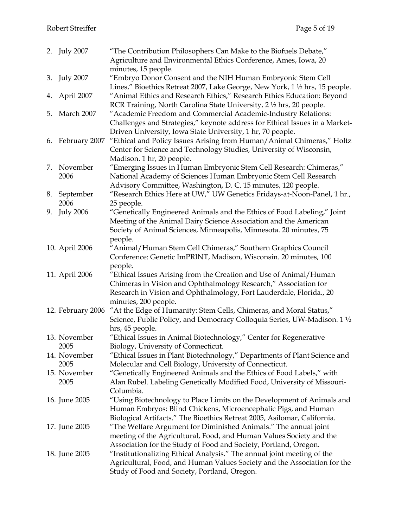|    | 2. July 2007      | "The Contribution Philosophers Can Make to the Biofuels Debate,"             |
|----|-------------------|------------------------------------------------------------------------------|
|    |                   | Agriculture and Environmental Ethics Conference, Ames, Iowa, 20              |
|    |                   | minutes, 15 people.                                                          |
|    | 3. July 2007      | "Embryo Donor Consent and the NIH Human Embryonic Stem Cell                  |
|    |                   | Lines," Bioethics Retreat 2007, Lake George, New York, 1 1/2 hrs, 15 people. |
| 4. | April 2007        | "Animal Ethics and Research Ethics," Research Ethics Education: Beyond       |
|    |                   | RCR Training, North Carolina State University, 2 1/2 hrs, 20 people.         |
| 5. | March 2007        | "Academic Freedom and Commercial Academic-Industry Relations:                |
|    |                   | Challenges and Strategies," keynote address for Ethical Issues in a Market-  |
|    |                   | Driven University, Iowa State University, 1 hr, 70 people.                   |
|    | 6. February 2007  | "Ethical and Policy Issues Arising from Human/Animal Chimeras," Holtz        |
|    |                   | Center for Science and Technology Studies, University of Wisconsin,          |
|    |                   | Madison. 1 hr, 20 people.                                                    |
| 7. | November          | "Emerging Issues in Human Embryonic Stem Cell Research: Chimeras,"           |
|    | 2006              | National Academy of Sciences Human Embryonic Stem Cell Research              |
|    |                   | Advisory Committee, Washington, D. C. 15 minutes, 120 people.                |
| 8. | September         | "Research Ethics Here at UW," UW Genetics Fridays-at-Noon-Panel, 1 hr.,      |
|    | 2006              | 25 people.                                                                   |
| 9. | <b>July 2006</b>  | "Genetically Engineered Animals and the Ethics of Food Labeling," Joint      |
|    |                   | Meeting of the Animal Dairy Science Association and the American             |
|    |                   | Society of Animal Sciences, Minneapolis, Minnesota. 20 minutes, 75           |
|    |                   | people.                                                                      |
|    | 10. April 2006    | "Animal/Human Stem Cell Chimeras," Southern Graphics Council                 |
|    |                   | Conference: Genetic ImPRINT, Madison, Wisconsin. 20 minutes, 100             |
|    |                   | people.                                                                      |
|    | 11. April 2006    | "Ethical Issues Arising from the Creation and Use of Animal/Human            |
|    |                   | Chimeras in Vision and Ophthalmology Research," Association for              |
|    |                   | Research in Vision and Ophthalmology, Fort Lauderdale, Florida., 20          |
|    |                   | minutes, 200 people.                                                         |
|    | 12. February 2006 | "At the Edge of Humanity: Stem Cells, Chimeras, and Moral Status,"           |
|    |                   | Science, Public Policy, and Democracy Colloquia Series, UW-Madison. 1 1/2    |
|    |                   | hrs, 45 people.                                                              |
|    | 13. November      | "Ethical Issues in Animal Biotechnology," Center for Regenerative            |
|    | 2005              | Biology, University of Connecticut.                                          |
|    | 14. November      | "Ethical Issues in Plant Biotechnology," Departments of Plant Science and    |
|    | 2005              | Molecular and Cell Biology, University of Connecticut.                       |
|    | 15. November      | "Genetically Engineered Animals and the Ethics of Food Labels," with         |
|    | 2005              | Alan Rubel. Labeling Genetically Modified Food, University of Missouri-      |
|    |                   | Columbia.                                                                    |
|    | 16. June 2005     | "Using Biotechnology to Place Limits on the Development of Animals and       |
|    |                   | Human Embryos: Blind Chickens, Microencephalic Pigs, and Human               |
|    |                   | Biological Artifacts." The Bioethics Retreat 2005, Asilomar, California.     |
|    | 17. June 2005     | "The Welfare Argument for Diminished Animals." The annual joint              |
|    |                   | meeting of the Agricultural, Food, and Human Values Society and the          |
|    |                   | Association for the Study of Food and Society, Portland, Oregon.             |
|    | 18. June 2005     | "Institutionalizing Ethical Analysis." The annual joint meeting of the       |
|    |                   | Agricultural, Food, and Human Values Society and the Association for the     |
|    |                   | Study of Food and Society, Portland, Oregon.                                 |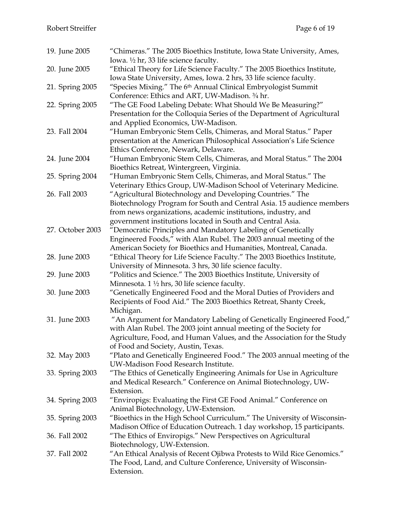| 19. June 2005    | "Chimeras." The 2005 Bioethics Institute, Iowa State University, Ames,<br>Iowa. 1/2 hr, 33 life science faculty.                               |
|------------------|------------------------------------------------------------------------------------------------------------------------------------------------|
|                  |                                                                                                                                                |
| 20. June 2005    | "Ethical Theory for Life Science Faculty." The 2005 Bioethics Institute,<br>Iowa State University, Ames, Iowa. 2 hrs, 33 life science faculty. |
| 21. Spring 2005  | "Species Mixing." The 6 <sup>th</sup> Annual Clinical Embryologist Summit                                                                      |
|                  | Conference: Ethics and ART, UW-Madison. 3/4 hr.                                                                                                |
| 22. Spring 2005  | "The GE Food Labeling Debate: What Should We Be Measuring?"                                                                                    |
|                  | Presentation for the Colloquia Series of the Department of Agricultural                                                                        |
|                  | and Applied Economics, UW-Madison.                                                                                                             |
| 23. Fall 2004    | "Human Embryonic Stem Cells, Chimeras, and Moral Status." Paper                                                                                |
|                  | presentation at the American Philosophical Association's Life Science                                                                          |
|                  | Ethics Conference, Newark, Delaware.                                                                                                           |
| 24. June 2004    | "Human Embryonic Stem Cells, Chimeras, and Moral Status." The 2004                                                                             |
|                  | Bioethics Retreat, Wintergreen, Virginia.                                                                                                      |
| 25. Spring 2004  | "Human Embryonic Stem Cells, Chimeras, and Moral Status." The                                                                                  |
|                  | Veterinary Ethics Group, UW-Madison School of Veterinary Medicine.                                                                             |
| 26. Fall 2003    | "Agricultural Biotechnology and Developing Countries." The                                                                                     |
|                  | Biotechnology Program for South and Central Asia. 15 audience members                                                                          |
|                  | from news organizations, academic institutions, industry, and                                                                                  |
|                  | government institutions located in South and Central Asia.                                                                                     |
| 27. October 2003 | "Democratic Principles and Mandatory Labeling of Genetically                                                                                   |
|                  | Engineered Foods," with Alan Rubel. The 2003 annual meeting of the                                                                             |
|                  | American Society for Bioethics and Humanities, Montreal, Canada.                                                                               |
| 28. June 2003    | "Ethical Theory for Life Science Faculty." The 2003 Bioethics Institute,                                                                       |
|                  | University of Minnesota. 3 hrs, 30 life science faculty.                                                                                       |
| 29. June 2003    | "Politics and Science." The 2003 Bioethics Institute, University of                                                                            |
|                  | Minnesota. $1 \frac{1}{2}$ hrs, 30 life science faculty.                                                                                       |
| 30. June 2003    | "Genetically Engineered Food and the Moral Duties of Providers and                                                                             |
|                  | Recipients of Food Aid." The 2003 Bioethics Retreat, Shanty Creek,                                                                             |
|                  | Michigan.                                                                                                                                      |
| 31. June 2003    | "An Argument for Mandatory Labeling of Genetically Engineered Food,"                                                                           |
|                  | with Alan Rubel. The 2003 joint annual meeting of the Society for                                                                              |
|                  | Agriculture, Food, and Human Values, and the Association for the Study                                                                         |
|                  | of Food and Society, Austin, Texas.                                                                                                            |
| 32. May 2003     | "Plato and Genetically Engineered Food." The 2003 annual meeting of the                                                                        |
|                  | UW-Madison Food Research Institute.                                                                                                            |
| 33. Spring 2003  | "The Ethics of Genetically Engineering Animals for Use in Agriculture                                                                          |
|                  | and Medical Research." Conference on Animal Biotechnology, UW-                                                                                 |
|                  | Extension.                                                                                                                                     |
| 34. Spring 2003  | "Enviropigs: Evaluating the First GE Food Animal." Conference on                                                                               |
|                  | Animal Biotechnology, UW-Extension.                                                                                                            |
| 35. Spring 2003  | "Bioethics in the High School Curriculum." The University of Wisconsin-                                                                        |
|                  | Madison Office of Education Outreach. 1 day workshop, 15 participants.                                                                         |
| 36. Fall 2002    | "The Ethics of Enviropigs." New Perspectives on Agricultural                                                                                   |
|                  | Biotechnology, UW-Extension.                                                                                                                   |
| 37. Fall 2002    | "An Ethical Analysis of Recent Ojibwa Protests to Wild Rice Genomics."                                                                         |
|                  | The Food, Land, and Culture Conference, University of Wisconsin-                                                                               |
|                  | Extension.                                                                                                                                     |
|                  |                                                                                                                                                |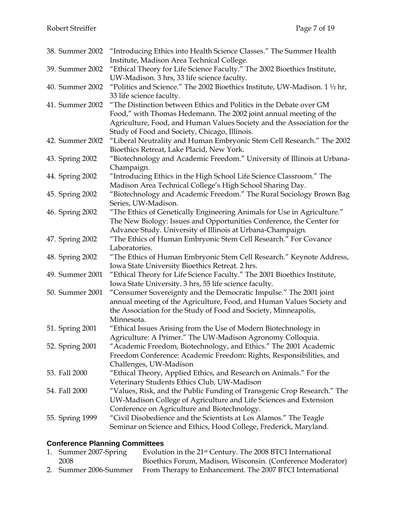| 38. Summer 2002 | "Introducing Ethics into Health Science Classes." The Summer Health<br>Institute, Madison Area Technical College.                                                                                                                                                   |
|-----------------|---------------------------------------------------------------------------------------------------------------------------------------------------------------------------------------------------------------------------------------------------------------------|
| 39. Summer 2002 | "Ethical Theory for Life Science Faculty." The 2002 Bioethics Institute,<br>UW-Madison. 3 hrs, 33 life science faculty.                                                                                                                                             |
| 40. Summer 2002 | "Politics and Science." The 2002 Bioethics Institute, UW-Madison. $1\frac{1}{2}$ hr,<br>33 life science faculty.                                                                                                                                                    |
| 41. Summer 2002 | "The Distinction between Ethics and Politics in the Debate over GM<br>Food," with Thomas Hedemann. The 2002 joint annual meeting of the<br>Agriculture, Food, and Human Values Society and the Association for the<br>Study of Food and Society, Chicago, Illinois. |
| 42. Summer 2002 | "Liberal Neutrality and Human Embryonic Stem Cell Research." The 2002<br>Bioethics Retreat, Lake Placid, New York.                                                                                                                                                  |
| 43. Spring 2002 | "Biotechnology and Academic Freedom." University of Illinois at Urbana-<br>Champaign.                                                                                                                                                                               |
| 44. Spring 2002 | "Introducing Ethics in the High School Life Science Classroom." The<br>Madison Area Technical College's High School Sharing Day.                                                                                                                                    |
| 45. Spring 2002 | "Biotechnology and Academic Freedom." The Rural Sociology Brown Bag<br>Series, UW-Madison.                                                                                                                                                                          |
| 46. Spring 2002 | "The Ethics of Genetically Engineering Animals for Use in Agriculture."<br>The New Biology: Issues and Opportunities Conference, the Center for<br>Advance Study. University of Illinois at Urbana-Champaign.                                                       |
| 47. Spring 2002 | "The Ethics of Human Embryonic Stem Cell Research." For Covance<br>Laboratories.                                                                                                                                                                                    |
| 48. Spring 2002 | "The Ethics of Human Embryonic Stem Cell Research." Keynote Address,<br>Iowa State University Bioethics Retreat. 2 hrs.                                                                                                                                             |
| 49. Summer 2001 | "Ethical Theory for Life Science Faculty." The 2001 Bioethics Institute,<br>Iowa State University. 3 hrs, 55 life science faculty.                                                                                                                                  |
| 50. Summer 2001 | "Consumer Sovereignty and the Democratic Impulse." The 2001 joint<br>annual meeting of the Agriculture, Food, and Human Values Society and<br>the Association for the Study of Food and Society, Minneapolis,<br>Minnesota.                                         |
| 51. Spring 2001 | "Ethical Issues Arising from the Use of Modern Biotechnology in<br>Agriculture: A Primer." The UW-Madison Agronomy Colloquia.                                                                                                                                       |
| 52. Spring 2001 | Academic Freedom, Biotechnology, and Ethics." The 2001 Academic<br>Freedom Conference: Academic Freedom: Rights, Responsibilities, and<br>Challenges, UW-Madison                                                                                                    |
| 53. Fall 2000   | "Ethical Theory, Applied Ethics, and Research on Animals." For the<br>Veterinary Students Ethics Club, UW-Madison                                                                                                                                                   |
| 54. Fall 2000   | "Values, Risk, and the Public Funding of Transgenic Crop Research." The<br>UW-Madison College of Agriculture and Life Sciences and Extension<br>Conference on Agriculture and Biotechnology.                                                                        |
| 55. Spring 1999 | "Civil Disobedience and the Scientists at Los Alamos." The Teagle<br>Seminar on Science and Ethics, Hood College, Frederick, Maryland.                                                                                                                              |

# **Conference Planning Committees**

| 1. Summer 2007-Spring | Evolution in the 21 <sup>st</sup> Century. The 2008 BTCI International         |
|-----------------------|--------------------------------------------------------------------------------|
| 2008                  | Bioethics Forum, Madison, Wisconsin. (Conference Moderator)                    |
|                       | 2. Summer 2006-Summer From Therapy to Enhancement. The 2007 BTCI International |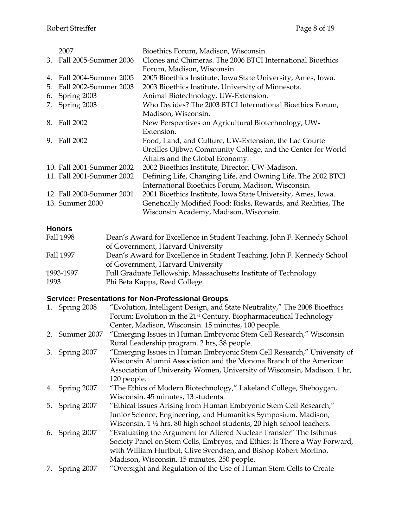|    | 2007                      | Bioethics Forum, Madison, Wisconsin.                          |
|----|---------------------------|---------------------------------------------------------------|
| 3. | Fall 2005-Summer 2006     | Clones and Chimeras. The 2006 BTCI International Bioethics    |
|    |                           | Forum, Madison, Wisconsin.                                    |
| 4. | Fall 2004-Summer 2005     | 2005 Bioethics Institute, Iowa State University, Ames, Iowa.  |
| 5. | Fall 2002-Summer 2003     | 2003 Bioethics Institute, University of Minnesota.            |
| 6. | Spring 2003               | Animal Biotechnology, UW-Extension.                           |
| 7. | Spring 2003               | Who Decides? The 2003 BTCI International Bioethics Forum,     |
|    |                           | Madison, Wisconsin.                                           |
| 8. | Fall 2002                 | New Perspectives on Agricultural Biotechnology, UW-           |
|    |                           | Extension.                                                    |
| 9. | Fall 2002                 | Food, Land, and Culture, UW-Extension, the Lac Courte         |
|    |                           | Oreilles Ojibwa Community College, and the Center for World   |
|    |                           | Affairs and the Global Economy.                               |
|    | 10. Fall 2001-Summer 2002 | 2002 Bioethics Institute, Director, UW-Madison.               |
|    | 11. Fall 2001-Summer 2002 | Defining Life, Changing Life, and Owning Life. The 2002 BTCI  |
|    |                           | International Bioethics Forum, Madison, Wisconsin.            |
|    | 12. Fall 2000-Summer 2001 | 2001 Bioethics Institute, Iowa State University, Ames, Iowa.  |
|    | 13. Summer 2000           | Genetically Modified Food: Risks, Rewards, and Realities, The |
|    |                           | Wisconsin Academy, Madison, Wisconsin.                        |

# **Honors**

| Fall 1998 | Dean's Award for Excellence in Student Teaching, John F. Kennedy School |
|-----------|-------------------------------------------------------------------------|
|           | of Government, Harvard University                                       |
| Fall 1997 | Dean's Award for Excellence in Student Teaching, John F. Kennedy School |
|           | of Government, Harvard University                                       |
| 1993-1997 | Full Graduate Fellowship, Massachusetts Institute of Technology         |
| 1993      | Phi Beta Kappa, Reed College                                            |

# **Service: Presentations for Non-Professional Groups**

| 1. Spring 2008 | "Evolution, Intelligent Design, and State Neutrality," The 2008 Bioethics      |
|----------------|--------------------------------------------------------------------------------|
|                | Forum: Evolution in the 21 <sup>st</sup> Century, Biopharmaceutical Technology |
|                | Center, Madison, Wisconsin. 15 minutes, 100 people.                            |
| 2. Summer 2007 | "Emerging Issues in Human Embryonic Stem Cell Research," Wisconsin             |
|                | Rural Leadership program. 2 hrs, 38 people.                                    |
| 3. Spring 2007 | "Emerging Issues in Human Embryonic Stem Cell Research," University of         |
|                | Wisconsin Alumni Association and the Monona Branch of the American             |
|                | Association of University Women, University of Wisconsin, Madison. 1 hr,       |
|                | 120 people.                                                                    |
| 4. Spring 2007 | "The Ethics of Modern Biotechnology," Lakeland College, Sheboygan,             |
|                | Wisconsin. 45 minutes, 13 students.                                            |
| 5. Spring 2007 | "Ethical Issues Arising from Human Embryonic Stem Cell Research,"              |
|                | Junior Science, Engineering, and Humanities Symposium. Madison,                |
|                | Wisconsin. 1 1/2 hrs, 80 high school students, 20 high school teachers.        |
| 6. Spring 2007 | "Evaluating the Argument for Altered Nuclear Transfer" The Isthmus             |
|                | Society Panel on Stem Cells, Embryos, and Ethics: Is There a Way Forward,      |
|                | with William Hurlbut, Clive Svendsen, and Bishop Robert Morlino.               |
|                | Madison, Wisconsin. 15 minutes, 250 people.                                    |
| 7. Spring 2007 | "Oversight and Regulation of the Use of Human Stem Cells to Create             |
|                |                                                                                |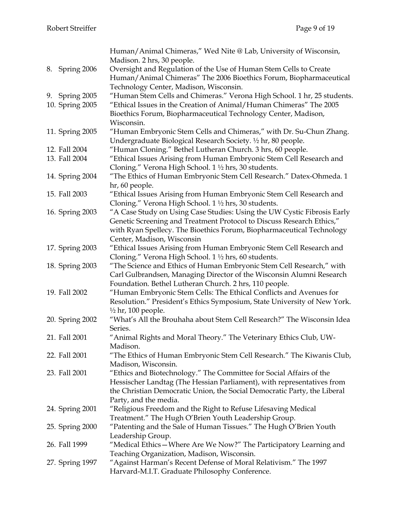|                 | Human/Animal Chimeras," Wed Nite @ Lab, University of Wisconsin,         |
|-----------------|--------------------------------------------------------------------------|
|                 | Madison. 2 hrs, 30 people.                                               |
| 8. Spring 2006  | Oversight and Regulation of the Use of Human Stem Cells to Create        |
|                 | Human/Animal Chimeras" The 2006 Bioethics Forum, Biopharmaceutical       |
|                 | Technology Center, Madison, Wisconsin.                                   |
| 9. Spring 2005  | "Human Stem Cells and Chimeras." Verona High School. 1 hr, 25 students.  |
| 10. Spring 2005 | "Ethical Issues in the Creation of Animal/Human Chimeras" The 2005       |
|                 | Bioethics Forum, Biopharmaceutical Technology Center, Madison,           |
|                 | Wisconsin.                                                               |
| 11. Spring 2005 | "Human Embryonic Stem Cells and Chimeras," with Dr. Su-Chun Zhang.       |
|                 | Undergraduate Biological Research Society. 1/2 hr, 80 people.            |
|                 |                                                                          |
| 12. Fall 2004   | "Human Cloning." Bethel Lutheran Church. 3 hrs, 60 people.               |
| 13. Fall 2004   | "Ethical Issues Arising from Human Embryonic Stem Cell Research and      |
|                 | Cloning." Verona High School. 1 1/2 hrs, 30 students.                    |
| 14. Spring 2004 | "The Ethics of Human Embryonic Stem Cell Research." Datex-Ohmeda. 1      |
|                 | hr, 60 people.                                                           |
| 15. Fall 2003   | "Ethical Issues Arising from Human Embryonic Stem Cell Research and      |
|                 | Cloning." Verona High School. 1 1/2 hrs, 30 students.                    |
| 16. Spring 2003 | "A Case Study on Using Case Studies: Using the UW Cystic Fibrosis Early  |
|                 | Genetic Screening and Treatment Protocol to Discuss Research Ethics,"    |
|                 | with Ryan Spellecy. The Bioethics Forum, Biopharmaceutical Technology    |
|                 | Center, Madison, Wisconsin                                               |
| 17. Spring 2003 | "Ethical Issues Arising from Human Embryonic Stem Cell Research and      |
|                 | Cloning." Verona High School. 1 1/2 hrs, 60 students.                    |
| 18. Spring 2003 | "The Science and Ethics of Human Embryonic Stem Cell Research," with     |
|                 | Carl Gulbrandsen, Managing Director of the Wisconsin Alumni Research     |
|                 | Foundation. Bethel Lutheran Church. 2 hrs, 110 people.                   |
| 19. Fall 2002   | "Human Embryonic Stem Cells: The Ethical Conflicts and Avenues for       |
|                 | Resolution." President's Ethics Symposium, State University of New York. |
|                 | $\frac{1}{2}$ hr, 100 people.                                            |
| 20. Spring 2002 | "What's All the Brouhaha about Stem Cell Research?" The Wisconsin Idea   |
|                 | Series.                                                                  |
| 21. Fall 2001   | "Animal Rights and Moral Theory." The Veterinary Ethics Club, UW-        |
|                 | Madison.                                                                 |
| 22. Fall 2001   | "The Ethics of Human Embryonic Stem Cell Research." The Kiwanis Club,    |
|                 | Madison, Wisconsin.                                                      |
| 23. Fall 2001   | "Ethics and Biotechnology." The Committee for Social Affairs of the      |
|                 | Hessischer Landtag (The Hessian Parliament), with representatives from   |
|                 | the Christian Democratic Union, the Social Democratic Party, the Liberal |
|                 | Party, and the media.                                                    |
| 24. Spring 2001 | "Religious Freedom and the Right to Refuse Lifesaving Medical            |
|                 | Treatment." The Hugh O'Brien Youth Leadership Group.                     |
|                 | "Patenting and the Sale of Human Tissues." The Hugh O'Brien Youth        |
| 25. Spring 2000 |                                                                          |
|                 | Leadership Group.                                                        |
| 26. Fall 1999   | "Medical Ethics – Where Are We Now?" The Participatory Learning and      |
|                 | Teaching Organization, Madison, Wisconsin.                               |
| 27. Spring 1997 | "Against Harman's Recent Defense of Moral Relativism." The 1997          |
|                 | Harvard-M.I.T. Graduate Philosophy Conference.                           |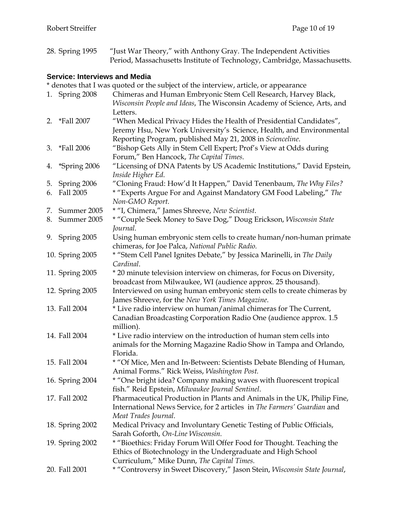| 28. Spring 1995 | "Just War Theory," with Anthony Gray. The Independent Activities         |
|-----------------|--------------------------------------------------------------------------|
|                 | Period, Massachusetts Institute of Technology, Cambridge, Massachusetts. |

# **Service: Interviews and Media**

|    |                 | * denotes that I was quoted or the subject of the interview, article, or appearance  |
|----|-----------------|--------------------------------------------------------------------------------------|
|    | 1. Spring 2008  | Chimeras and Human Embryonic Stem Cell Research, Harvey Black,                       |
|    |                 | Wisconsin People and Ideas, The Wisconsin Academy of Science, Arts, and<br>Letters.  |
|    | 2. *Fall 2007   | "When Medical Privacy Hides the Health of Presidential Candidates",                  |
|    |                 | Jeremy Hsu, New York University's Science, Health, and Environmental                 |
|    |                 | Reporting Program, published May 21, 2008 in Scienceline.                            |
|    | 3. *Fall 2006   | "Bishop Gets Ally in Stem Cell Expert; Prof's View at Odds during                    |
|    |                 | Forum," Ben Hancock, The Capital Times.                                              |
|    | 4. *Spring 2006 | "Licensing of DNA Patents by US Academic Institutions," David Epstein,               |
|    |                 | Inside Higher Ed.                                                                    |
| 5. | Spring 2006     | "Cloning Fraud: How'd It Happen," David Tenenbaum, The Why Files?                    |
| 6. | Fall 2005       | * "Experts Argue For and Against Mandatory GM Food Labeling," The<br>Non-GMO Report. |
| 7. | Summer 2005     | * "I, Chimera," James Shreeve, New Scientist.                                        |
|    | 8. Summer 2005  | * "Couple Seek Money to Save Dog," Doug Erickson, Wisconsin State                    |
|    |                 | Journal.                                                                             |
|    | 9. Spring 2005  | Using human embryonic stem cells to create human/non-human primate                   |
|    |                 | chimeras, for Joe Palca, National Public Radio.                                      |
|    | 10. Spring 2005 | * "Stem Cell Panel Ignites Debate," by Jessica Marinelli, in The Daily               |
|    |                 | Cardinal.                                                                            |
|    | 11. Spring 2005 | * 20 minute television interview on chimeras, for Focus on Diversity,                |
|    |                 | broadcast from Milwaukee, WI (audience approx. 25 thousand).                         |
|    | 12. Spring 2005 | Interviewed on using human embryonic stem cells to create chimeras by                |
|    |                 | James Shreeve, for the New York Times Magazine.                                      |
|    | 13. Fall 2004   | * Live radio interview on human/animal chimeras for The Current,                     |
|    |                 | Canadian Broadcasting Corporation Radio One (audience approx. 1.5                    |
|    |                 | million).                                                                            |
|    | 14. Fall 2004   | * Live radio interview on the introduction of human stem cells into                  |
|    |                 | animals for the Morning Magazine Radio Show in Tampa and Orlando,                    |
|    |                 | Florida.                                                                             |
|    | 15. Fall 2004   | * "Of Mice, Men and In-Between: Scientists Debate Blending of Human,                 |
|    |                 | Animal Forms." Rick Weiss, Washington Post.                                          |
|    | 16. Spring 2004 | * "One bright idea? Company making waves with fluorescent tropical                   |
|    |                 | fish." Reid Epstein, Milwaukee Journal Sentinel.                                     |
|    | 17. Fall 2002   | Pharmaceutical Production in Plants and Animals in the UK, Philip Fine,              |
|    |                 | International News Service, for 2 articles in The Farmers' Guardian and              |
|    |                 | Meat Trades Journal.                                                                 |
|    | 18. Spring 2002 | Medical Privacy and Involuntary Genetic Testing of Public Officials,                 |
|    |                 | Sarah Goforth, On-Line Wisconsin.                                                    |
|    | 19. Spring 2002 | * "Bioethics: Friday Forum Will Offer Food for Thought. Teaching the                 |
|    |                 | Ethics of Biotechnology in the Undergraduate and High School                         |
|    |                 | Curriculum," Mike Dunn, The Capital Times.                                           |
|    | 20. Fall 2001   | * "Controversy in Sweet Discovery," Jason Stein, Wisconsin State Journal,            |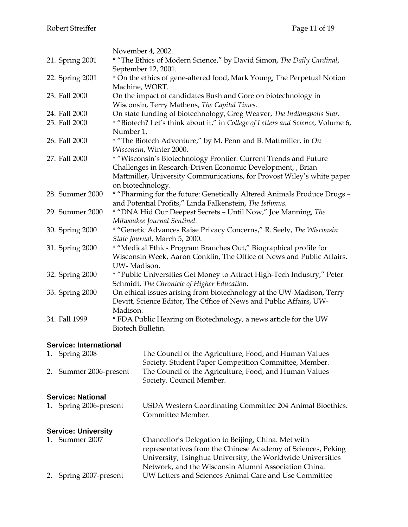|                 | November 4, 2002.                                                                                                                  |
|-----------------|------------------------------------------------------------------------------------------------------------------------------------|
| 21. Spring 2001 | * "The Ethics of Modern Science," by David Simon, The Daily Cardinal,<br>September 12, 2001.                                       |
| 22. Spring 2001 | * On the ethics of gene-altered food, Mark Young, The Perpetual Notion                                                             |
|                 | Machine, WORT.                                                                                                                     |
| 23. Fall 2000   | On the impact of candidates Bush and Gore on biotechnology in                                                                      |
|                 | Wisconsin, Terry Mathens, The Capital Times.                                                                                       |
| 24. Fall 2000   | On state funding of biotechnology, Greg Weaver, The Indianapolis Star.                                                             |
| 25. Fall 2000   | * "Biotech? Let's think about it," in College of Letters and Science, Volume 6,                                                    |
|                 | Number 1.                                                                                                                          |
| 26. Fall 2000   | * "The Biotech Adventure," by M. Penn and B. Mattmiller, in On                                                                     |
|                 | Wisconsin, Winter 2000.                                                                                                            |
| 27. Fall 2000   | * "Wisconsin's Biotechnology Frontier: Current Trends and Future                                                                   |
|                 | Challenges in Research-Driven Economic Development, , Brian                                                                        |
|                 | Mattmiller, University Communications, for Provost Wiley's white paper                                                             |
| 28. Summer 2000 | on biotechnology.                                                                                                                  |
|                 | * "Pharming for the future: Genetically Altered Animals Produce Drugs -<br>and Potential Profits," Linda Falkenstein, The Isthmus. |
| 29. Summer 2000 | * "DNA Hid Our Deepest Secrets - Until Now," Joe Manning, The                                                                      |
|                 | Milwaukee Journal Sentinel.                                                                                                        |
| 30. Spring 2000 | * "Genetic Advances Raise Privacy Concerns," R. Seely, The Wisconsin                                                               |
|                 | State Journal, March 5, 2000.                                                                                                      |
| 31. Spring 2000 | * "Medical Ethics Program Branches Out," Biographical profile for                                                                  |
|                 | Wisconsin Week, Aaron Conklin, The Office of News and Public Affairs,                                                              |
|                 | UW-Madison.                                                                                                                        |
| 32. Spring 2000 | * "Public Universities Get Money to Attract High-Tech Industry," Peter                                                             |
|                 | Schmidt, The Chronicle of Higher Education.                                                                                        |
| 33. Spring 2000 | On ethical issues arising from biotechnology at the UW-Madison, Terry                                                              |
|                 | Devitt, Science Editor, The Office of News and Public Affairs, UW-                                                                 |
|                 | Madison.                                                                                                                           |
| 34. Fall 1999   | * FDA Public Hearing on Biotechnology, a news article for the UW<br>Biotech Bulletin.                                              |
|                 |                                                                                                                                    |
|                 |                                                                                                                                    |

# **Service: International**

| 1. Spring 2008         | The Council of the Agriculture, Food, and Human Values |
|------------------------|--------------------------------------------------------|
|                        | Society. Student Paper Competition Committee, Member.  |
| 2. Summer 2006-present | The Council of the Agriculture, Food, and Human Values |
|                        | Society. Council Member.                               |

# **Service: National**

| 1. Spring 2006-present | USDA Western Coordinating Committee 204 Animal Bioethics. |
|------------------------|-----------------------------------------------------------|
|                        | Committee Member.                                         |

# **Service: University**

| 1. Summer 2007         | Chancellor's Delegation to Beijing, China. Met with          |
|------------------------|--------------------------------------------------------------|
|                        | representatives from the Chinese Academy of Sciences, Peking |
|                        | University, Tsinghua University, the Worldwide Universities  |
|                        | Network, and the Wisconsin Alumni Association China.         |
| 2. Spring 2007-present | UW Letters and Sciences Animal Care and Use Committee        |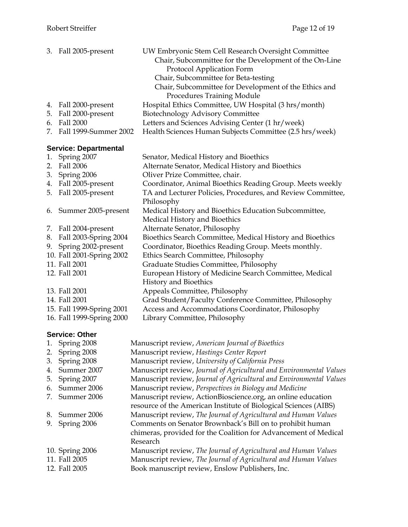|    | 3. Fall 2005-present         | UW Embryonic Stem Cell Research Oversight Committee<br>Chair, Subcommittee for the Development of the On-Line<br>Protocol Application Form<br>Chair, Subcommittee for Beta-testing<br>Chair, Subcommittee for Development of the Ethics and<br>Procedures Training Module |
|----|------------------------------|---------------------------------------------------------------------------------------------------------------------------------------------------------------------------------------------------------------------------------------------------------------------------|
| 4. | Fall 2000-present            | Hospital Ethics Committee, UW Hospital (3 hrs/month)                                                                                                                                                                                                                      |
| 5. | Fall 2000-present            | <b>Biotechnology Advisory Committee</b>                                                                                                                                                                                                                                   |
| 6. | Fall 2000                    | Letters and Sciences Advising Center (1 hr/week)                                                                                                                                                                                                                          |
| 7. | Fall 1999-Summer 2002        | Health Sciences Human Subjects Committee (2.5 hrs/week)                                                                                                                                                                                                                   |
|    | <b>Service: Departmental</b> |                                                                                                                                                                                                                                                                           |
| 1. | Spring 2007                  | Senator, Medical History and Bioethics                                                                                                                                                                                                                                    |
| 2. | Fall 2006                    | Alternate Senator, Medical History and Bioethics                                                                                                                                                                                                                          |
|    | 3. Spring 2006               | Oliver Prize Committee, chair.                                                                                                                                                                                                                                            |
|    | 4. Fall 2005-present         | Coordinator, Animal Bioethics Reading Group. Meets weekly                                                                                                                                                                                                                 |
| 5. | Fall 2005-present            | TA and Lecturer Policies, Procedures, and Review Committee,                                                                                                                                                                                                               |
|    |                              | Philosophy                                                                                                                                                                                                                                                                |
| 6. | Summer 2005-present          | Medical History and Bioethics Education Subcommittee,                                                                                                                                                                                                                     |
|    |                              | Medical History and Bioethics                                                                                                                                                                                                                                             |
|    | 7. Fall 2004-present         | Alternate Senator, Philosophy                                                                                                                                                                                                                                             |
| 8. | Fall 2003-Spring 2004        | Bioethics Search Committee, Medical History and Bioethics                                                                                                                                                                                                                 |
|    | 9. Spring 2002-present       | Coordinator, Bioethics Reading Group. Meets monthly.                                                                                                                                                                                                                      |
|    | 10. Fall 2001-Spring 2002    | Ethics Search Committee, Philosophy                                                                                                                                                                                                                                       |
|    | 11. Fall 2001                | Graduate Studies Committee, Philosophy                                                                                                                                                                                                                                    |
|    | 12. Fall 2001                | European History of Medicine Search Committee, Medical<br>History and Bioethics                                                                                                                                                                                           |
|    | 13. Fall 2001                | Appeals Committee, Philosophy                                                                                                                                                                                                                                             |
|    | 14. Fall 2001                | Grad Student/Faculty Conference Committee, Philosophy                                                                                                                                                                                                                     |
|    | 15. Fall 1999-Spring 2001    | Access and Accommodations Coordinator, Philosophy                                                                                                                                                                                                                         |
|    | 16. Fall 1999-Spring 2000    | Library Committee, Philosophy                                                                                                                                                                                                                                             |
|    |                              |                                                                                                                                                                                                                                                                           |

# **Service: Other**

| Manuscript review, Journal of Agricultural and Environmental Values |
|---------------------------------------------------------------------|
| Manuscript review, Journal of Agricultural and Environmental Values |
| Manuscript review, Perspectives in Biology and Medicine             |
| Manuscript review, ActionBioscience.org, an online education        |
| resource of the American Institute of Biological Sciences (AIBS)    |
| Manuscript review, The Journal of Agricultural and Human Values     |
| Comments on Senator Brownback's Bill on to prohibit human           |
| chimeras, provided for the Coalition for Advancement of Medical     |
|                                                                     |
| Manuscript review, The Journal of Agricultural and Human Values     |
| Manuscript review, The Journal of Agricultural and Human Values     |
|                                                                     |
|                                                                     |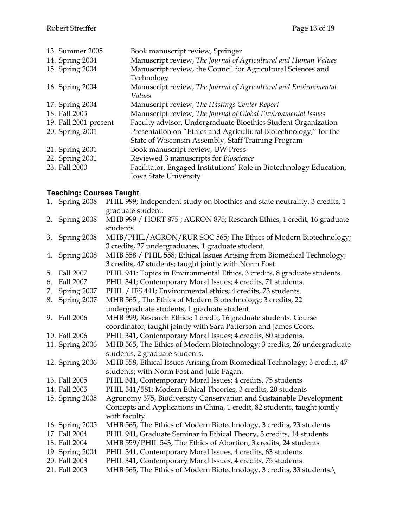| 13. Summer 2005       | Book manuscript review, Springer                                    |
|-----------------------|---------------------------------------------------------------------|
| 14. Spring 2004       | Manuscript review, The Journal of Agricultural and Human Values     |
| 15. Spring 2004       | Manuscript review, the Council for Agricultural Sciences and        |
|                       | Technology                                                          |
| 16. Spring 2004       | Manuscript review, The Journal of Agricultural and Environmental    |
|                       | Values                                                              |
| 17. Spring 2004       | Manuscript review, The Hastings Center Report                       |
| 18. Fall 2003         | Manuscript review, The Journal of Global Environmental Issues       |
| 19. Fall 2001-present | Faculty advisor, Undergraduate Bioethics Student Organization       |
| 20. Spring 2001       | Presentation on "Ethics and Agricultural Biotechnology," for the    |
|                       | State of Wisconsin Assembly, Staff Training Program                 |
| 21. Spring 2001       | Book manuscript review, UW Press                                    |
| 22. Spring 2001       | Reviewed 3 manuscripts for Bioscience                               |
| 23. Fall 2000         | Facilitator, Engaged Institutions' Role in Biotechnology Education, |
|                       | Iowa State University                                               |

# **Teaching: Courses Taught**

|    | 1. Spring 2008  | PHIL 999; Independent study on bioethics and state neutrality, 3 credits, 1 |
|----|-----------------|-----------------------------------------------------------------------------|
|    |                 | graduate student.                                                           |
|    | 2. Spring 2008  | MHB 999 / HORT 875; AGRON 875; Research Ethics, 1 credit, 16 graduate       |
|    |                 | students.                                                                   |
| 3. | Spring 2008     | MHB/PHIL/AGRON/RUR SOC 565; The Ethics of Modern Biotechnology;             |
|    |                 | 3 credits, 27 undergraduates, 1 graduate student.                           |
| 4. | Spring 2008     | MHB 558 / PHIL 558; Ethical Issues Arising from Biomedical Technology;      |
|    |                 | 3 credits, 47 students; taught jointly with Norm Fost.                      |
| 5. | Fall 2007       | PHIL 941: Topics in Environmental Ethics, 3 credits, 8 graduate students.   |
| 6. | Fall 2007       | PHIL 341; Contemporary Moral Issues; 4 credits, 71 students.                |
| 7. | Spring 2007     | PHIL / IES 441; Environmental ethics; 4 credits, 73 students.               |
| 8. | Spring 2007     | MHB 565, The Ethics of Modern Biotechnology; 3 credits, 22                  |
|    |                 | undergraduate students, 1 graduate student.                                 |
| 9. | Fall 2006       | MHB 999, Research Ethics; 1 credit, 16 graduate students. Course            |
|    |                 | coordinator; taught jointly with Sara Patterson and James Coors.            |
|    | 10. Fall 2006   | PHIL 341, Contemporary Moral Issues; 4 credits, 80 students.                |
|    | 11. Spring 2006 | MHB 565, The Ethics of Modern Biotechnology; 3 credits, 26 undergraduate    |
|    |                 | students, 2 graduate students.                                              |
|    | 12. Spring 2006 | MHB 558, Ethical Issues Arising from Biomedical Technology; 3 credits, 47   |
|    |                 | students; with Norm Fost and Julie Fagan.                                   |
|    | 13. Fall 2005   | PHIL 341, Contemporary Moral Issues; 4 credits, 75 students                 |
|    | 14. Fall 2005   | PHIL 541/581: Modern Ethical Theories, 3 credits, 20 students               |
|    | 15. Spring 2005 | Agronomy 375, Biodiversity Conservation and Sustainable Development:        |
|    |                 | Concepts and Applications in China, 1 credit, 82 students, taught jointly   |
|    |                 | with faculty.                                                               |
|    | 16. Spring 2005 | MHB 565, The Ethics of Modern Biotechnology, 3 credits, 23 students         |
|    | 17. Fall 2004   | PHIL 941, Graduate Seminar in Ethical Theory, 3 credits, 14 students        |
|    | 18. Fall 2004   | MHB 559/PHIL 543, The Ethics of Abortion, 3 credits, 24 students            |
|    | 19. Spring 2004 | PHIL 341, Contemporary Moral Issues, 4 credits, 63 students                 |
|    | 20. Fall 2003   | PHIL 341, Contemporary Moral Issues, 4 credits, 75 students                 |
|    | 21. Fall 2003   | MHB 565, The Ethics of Modern Biotechnology, 3 credits, 33 students.\       |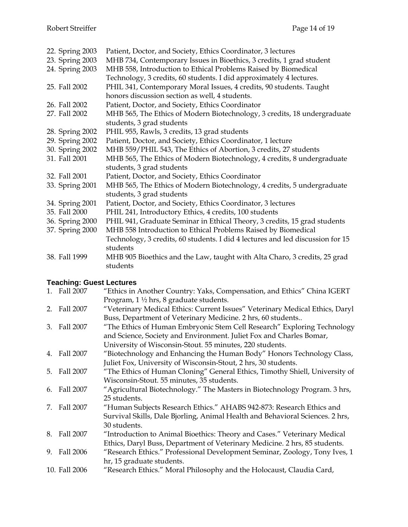| 22. Spring 2003 | Patient, Doctor, and Society, Ethics Coordinator, 3 lectures                   |
|-----------------|--------------------------------------------------------------------------------|
| 23. Spring 2003 | MHB 734, Contemporary Issues in Bioethics, 3 credits, 1 grad student           |
| 24. Spring 2003 | MHB 558, Introduction to Ethical Problems Raised by Biomedical                 |
|                 | Technology, 3 credits, 60 students. I did approximately 4 lectures.            |
| 25. Fall 2002   | PHIL 341, Contemporary Moral Issues, 4 credits, 90 students. Taught            |
|                 | honors discussion section as well, 4 students.                                 |
| 26. Fall 2002   | Patient, Doctor, and Society, Ethics Coordinator                               |
| 27. Fall 2002   | MHB 565, The Ethics of Modern Biotechnology, 3 credits, 18 undergraduate       |
|                 | students, 3 grad students                                                      |
| 28. Spring 2002 | PHIL 955, Rawls, 3 credits, 13 grad students                                   |
| 29. Spring 2002 | Patient, Doctor, and Society, Ethics Coordinator, 1 lecture                    |
| 30. Spring 2002 | MHB 559/PHIL 543, The Ethics of Abortion, 3 credits, 27 students               |
| 31. Fall 2001   | MHB 565, The Ethics of Modern Biotechnology, 4 credits, 8 undergraduate        |
|                 | students, 3 grad students                                                      |
| 32. Fall 2001   | Patient, Doctor, and Society, Ethics Coordinator                               |
| 33. Spring 2001 | MHB 565, The Ethics of Modern Biotechnology, 4 credits, 5 undergraduate        |
|                 | students, 3 grad students                                                      |
| 34. Spring 2001 | Patient, Doctor, and Society, Ethics Coordinator, 3 lectures                   |
| 35. Fall 2000   | PHIL 241, Introductory Ethics, 4 credits, 100 students                         |
| 36. Spring 2000 | PHIL 941, Graduate Seminar in Ethical Theory, 3 credits, 15 grad students      |
| 37. Spring 2000 | MHB 558 Introduction to Ethical Problems Raised by Biomedical                  |
|                 | Technology, 3 credits, 60 students. I did 4 lectures and led discussion for 15 |
|                 | students                                                                       |
| 38. Fall 1999   | MHB 905 Bioethics and the Law, taught with Alta Charo, 3 credits, 25 grad      |
|                 | students                                                                       |

### **Teaching: Guest Lectures**

| 1. Fall 2007  | "Ethics in Another Country: Yaks, Compensation, and Ethics" China IGERT       |
|---------------|-------------------------------------------------------------------------------|
|               | Program, $1\frac{1}{2}$ hrs, 8 graduate students.                             |
| 2. Fall 2007  | "Veterinary Medical Ethics: Current Issues" Veterinary Medical Ethics, Daryl  |
|               | Buss, Department of Veterinary Medicine. 2 hrs, 60 students                   |
| 3. Fall 2007  | "The Ethics of Human Embryonic Stem Cell Research" Exploring Technology       |
|               | and Science, Society and Environment. Juliet Fox and Charles Bomar,           |
|               | University of Wisconsin-Stout. 55 minutes, 220 students.                      |
| 4. Fall 2007  | "Biotechnology and Enhancing the Human Body" Honors Technology Class,         |
|               | Juliet Fox, University of Wisconsin-Stout, 2 hrs, 30 students.                |
| 5. Fall 2007  | "The Ethics of Human Cloning" General Ethics, Timothy Shiell, University of   |
|               | Wisconsin-Stout. 55 minutes, 35 students.                                     |
| 6. Fall 2007  | "Agricultural Biotechnology." The Masters in Biotechnology Program. 3 hrs,    |
|               | 25 students.                                                                  |
| 7. Fall 2007  | "Human Subjects Research Ethics." AHABS 942-873: Research Ethics and          |
|               | Survival Skills, Dale Bjorling, Animal Health and Behavioral Sciences. 2 hrs, |
|               | 30 students.                                                                  |
| 8. Fall 2007  | "Introduction to Animal Bioethics: Theory and Cases." Veterinary Medical      |
|               | Ethics, Daryl Buss, Department of Veterinary Medicine. 2 hrs, 85 students.    |
| 9. Fall 2006  | "Research Ethics." Professional Development Seminar, Zoology, Tony Ives, 1    |
|               | hr, 15 graduate students.                                                     |
| 10. Fall 2006 | "Research Ethics." Moral Philosophy and the Holocaust, Claudia Card,          |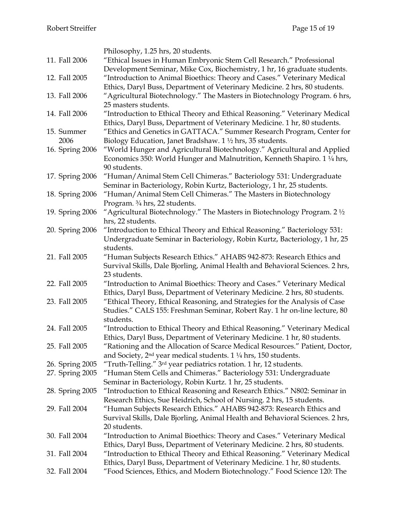|                 | Philosophy, 1.25 hrs, 20 students.                                                 |
|-----------------|------------------------------------------------------------------------------------|
| 11. Fall 2006   | "Ethical Issues in Human Embryonic Stem Cell Research." Professional               |
|                 | Development Seminar, Mike Cox, Biochemistry, 1 hr, 16 graduate students.           |
| 12. Fall 2005   | "Introduction to Animal Bioethics: Theory and Cases." Veterinary Medical           |
|                 | Ethics, Daryl Buss, Department of Veterinary Medicine. 2 hrs, 80 students.         |
| 13. Fall 2006   | "Agricultural Biotechnology." The Masters in Biotechnology Program. 6 hrs,         |
|                 | 25 masters students.                                                               |
| 14. Fall 2006   | "Introduction to Ethical Theory and Ethical Reasoning." Veterinary Medical         |
|                 | Ethics, Daryl Buss, Department of Veterinary Medicine. 1 hr, 80 students.          |
| 15. Summer      | "Ethics and Genetics in GATTACA." Summer Research Program, Center for              |
| 2006            |                                                                                    |
|                 | Biology Education, Janet Bradshaw. $1\frac{1}{2}$ hrs, 35 students.                |
| 16. Spring 2006 | "World Hunger and Agricultural Biotechnology." Agricultural and Applied            |
|                 | Economics 350: World Hunger and Malnutrition, Kenneth Shapiro. 1 1/4 hrs,          |
|                 | 90 students.                                                                       |
| 17. Spring 2006 | "Human/Animal Stem Cell Chimeras." Bacteriology 531: Undergraduate                 |
|                 | Seminar in Bacteriology, Robin Kurtz, Bacteriology, 1 hr, 25 students.             |
| 18. Spring 2006 | "Human/Animal Stem Cell Chimeras." The Masters in Biotechnology                    |
|                 | Program. 3/4 hrs, 22 students.                                                     |
| 19. Spring 2006 | "Agricultural Biotechnology." The Masters in Biotechnology Program. $2\frac{1}{2}$ |
|                 | hrs, 22 students.                                                                  |
| 20. Spring 2006 | "Introduction to Ethical Theory and Ethical Reasoning." Bacteriology 531:          |
|                 | Undergraduate Seminar in Bacteriology, Robin Kurtz, Bacteriology, 1 hr, 25         |
|                 | students.                                                                          |
| 21. Fall 2005   | "Human Subjects Research Ethics." AHABS 942-873: Research Ethics and               |
|                 | Survival Skills, Dale Bjorling, Animal Health and Behavioral Sciences. 2 hrs,      |
|                 | 23 students.                                                                       |
| 22. Fall 2005   | "Introduction to Animal Bioethics: Theory and Cases." Veterinary Medical           |
|                 | Ethics, Daryl Buss, Department of Veterinary Medicine. 2 hrs, 80 students.         |
| 23. Fall 2005   | "Ethical Theory, Ethical Reasoning, and Strategies for the Analysis of Case        |
|                 | Studies." CALS 155: Freshman Seminar, Robert Ray. 1 hr on-line lecture, 80         |
|                 | students.                                                                          |
| 24. Fall 2005   | "Introduction to Ethical Theory and Ethical Reasoning." Veterinary Medical         |
|                 | Ethics, Daryl Buss, Department of Veterinary Medicine. 1 hr, 80 students.          |
| 25. Fall 2005   | "Rationing and the Allocation of Scarce Medical Resources." Patient, Doctor,       |
|                 | and Society, $2nd$ year medical students. 1 $\frac{1}{4}$ hrs, 150 students.       |
| 26. Spring 2005 | "Truth-Telling." 3 <sup>rd</sup> year pediatrics rotation. 1 hr, 12 students.      |
| 27. Spring 2005 | "Human Stem Cells and Chimeras." Bacteriology 531: Undergraduate                   |
|                 | Seminar in Bacteriology, Robin Kurtz. 1 hr, 25 students.                           |
| 28. Spring 2005 | "Introduction to Ethical Reasoning and Research Ethics." N802: Seminar in          |
|                 | Research Ethics, Sue Heidrich, School of Nursing. 2 hrs, 15 students.              |
| 29. Fall 2004   | "Human Subjects Research Ethics." AHABS 942-873: Research Ethics and               |
|                 | Survival Skills, Dale Bjorling, Animal Health and Behavioral Sciences. 2 hrs,      |
|                 | 20 students.                                                                       |
| 30. Fall 2004   | "Introduction to Animal Bioethics: Theory and Cases." Veterinary Medical           |
|                 | Ethics, Daryl Buss, Department of Veterinary Medicine. 2 hrs, 80 students.         |
| 31. Fall 2004   | "Introduction to Ethical Theory and Ethical Reasoning." Veterinary Medical         |
|                 | Ethics, Daryl Buss, Department of Veterinary Medicine. 1 hr, 80 students.          |
| 32. Fall 2004   | "Food Sciences, Ethics, and Modern Biotechnology." Food Science 120: The           |
|                 |                                                                                    |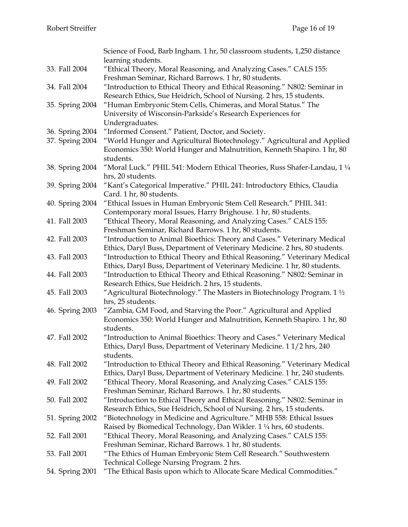|                 | Science of Food, Barb Ingham. 1 hr, 50 classroom students, 1,250 distance                                                  |
|-----------------|----------------------------------------------------------------------------------------------------------------------------|
|                 | learning students.                                                                                                         |
| 33. Fall 2004   | "Ethical Theory, Moral Reasoning, and Analyzing Cases." CALS 155:<br>Freshman Seminar, Richard Barrows. 1 hr, 80 students. |
| 34. Fall 2004   | "Introduction to Ethical Theory and Ethical Reasoning." N802: Seminar in                                                   |
|                 | Research Ethics, Sue Heidrich, School of Nursing. 2 hrs, 15 students.                                                      |
| 35. Spring 2004 | "Human Embryonic Stem Cells, Chimeras, and Moral Status." The                                                              |
|                 | University of Wisconsin-Parkside's Research Experiences for                                                                |
|                 | Undergraduates.                                                                                                            |
|                 |                                                                                                                            |
| 36. Spring 2004 | "Informed Consent." Patient, Doctor, and Society.                                                                          |
| 37. Spring 2004 | "World Hunger and Agricultural Biotechnology." Agricultural and Applied                                                    |
|                 | Economics 350: World Hunger and Malnutrition, Kenneth Shapiro. 1 hr, 80                                                    |
|                 | students.                                                                                                                  |
| 38. Spring 2004 | "Moral Luck." PHIL 541: Modern Ethical Theories, Russ Shafer-Landau, 1 1/4                                                 |
|                 | hrs, 20 students.                                                                                                          |
| 39. Spring 2004 | "Kant's Categorical Imperative." PHIL 241: Introductory Ethics, Claudia                                                    |
|                 | Card. 1 hr, 80 students.                                                                                                   |
| 40. Spring 2004 | "Ethical Issues in Human Embryonic Stem Cell Research." PHIL 341:                                                          |
|                 | Contemporary moral Issues, Harry Brighouse. 1 hr, 80 students.                                                             |
| 41. Fall 2003   | "Ethical Theory, Moral Reasoning, and Analyzing Cases." CALS 155:                                                          |
|                 | Freshman Seminar, Richard Barrows. 1 hr, 80 students.                                                                      |
| 42. Fall 2003   | "Introduction to Animal Bioethics: Theory and Cases." Veterinary Medical                                                   |
|                 | Ethics, Daryl Buss, Department of Veterinary Medicine. 2 hrs, 80 students.                                                 |
| 43. Fall 2003   | "Introduction to Ethical Theory and Ethical Reasoning." Veterinary Medical                                                 |
|                 | Ethics, Daryl Buss, Department of Veterinary Medicine. 1 hr, 80 students.                                                  |
| 44. Fall 2003   | "Introduction to Ethical Theory and Ethical Reasoning." N802: Seminar in                                                   |
|                 | Research Ethics, Sue Heidrich. 2 hrs, 15 students.                                                                         |
| 45. Fall 2003   | "Agricultural Biotechnology." The Masters in Biotechnology Program. $1\frac{1}{2}$                                         |
|                 | hrs, 25 students.                                                                                                          |
|                 |                                                                                                                            |
| 46. Spring 2003 | "Zambia, GM Food, and Starving the Poor." Agricultural and Applied                                                         |
|                 | Economics 350: World Hunger and Malnutrition, Kenneth Shapiro. 1 hr, 80                                                    |
|                 | students.                                                                                                                  |
| 47. Fall 2002   | "Introduction to Animal Bioethics: Theory and Cases." Veterinary Medical                                                   |
|                 | Ethics, Daryl Buss, Department of Veterinary Medicine. 11/2 hrs, 240                                                       |
|                 | students.                                                                                                                  |
| 48. Fall 2002   | "Introduction to Ethical Theory and Ethical Reasoning." Veterinary Medical                                                 |
|                 | Ethics, Daryl Buss, Department of Veterinary Medicine. 1 hr, 240 students.                                                 |
| 49. Fall 2002   | "Ethical Theory, Moral Reasoning, and Analyzing Cases." CALS 155:                                                          |
|                 | Freshman Seminar, Richard Barrows. 1 hr, 80 students.                                                                      |
| 50. Fall 2002   | "Introduction to Ethical Theory and Ethical Reasoning." N802: Seminar in                                                   |
|                 | Research Ethics, Sue Heidrich, School of Nursing. 2 hrs, 15 students.                                                      |
| 51. Spring 2002 | "Biotechnology in Medicine and Agriculture." MHB 558: Ethical Issues                                                       |
|                 | Raised by Biomedical Technology, Dan Wikler. 1 1/4 hrs, 60 students.                                                       |
| 52. Fall 2001   | "Ethical Theory, Moral Reasoning, and Analyzing Cases." CALS 155:                                                          |
|                 | Freshman Seminar, Richard Barrows. 1 hr, 80 students.                                                                      |
| 53. Fall 2001   | "The Ethics of Human Embryonic Stem Cell Research." Southwestern                                                           |
|                 | Technical College Nursing Program. 2 hrs.                                                                                  |
| 54. Spring 2001 | "The Ethical Basis upon which to Allocate Scare Medical Commodities."                                                      |
|                 |                                                                                                                            |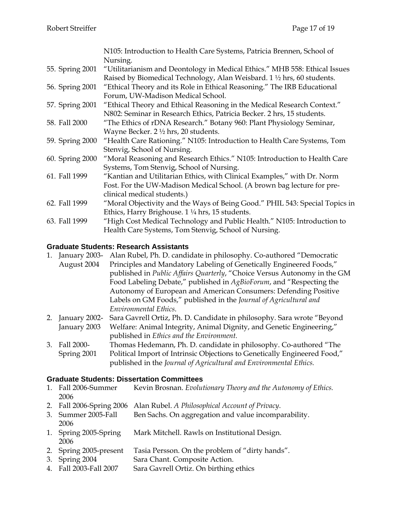|                 | N105: Introduction to Health Care Systems, Patricia Brennen, School of<br>Nursing.                                                                    |
|-----------------|-------------------------------------------------------------------------------------------------------------------------------------------------------|
| 55. Spring 2001 | "Utilitarianism and Deontology in Medical Ethics." MHB 558: Ethical Issues<br>Raised by Biomedical Technology, Alan Weisbard. 1 1/2 hrs, 60 students. |
| 56. Spring 2001 | "Ethical Theory and its Role in Ethical Reasoning." The IRB Educational                                                                               |
|                 | Forum, UW-Madison Medical School.                                                                                                                     |
| 57. Spring 2001 | "Ethical Theory and Ethical Reasoning in the Medical Research Context."                                                                               |
|                 | N802: Seminar in Research Ethics, Patricia Becker. 2 hrs, 15 students.                                                                                |
| 58. Fall 2000   | "The Ethics of rDNA Research." Botany 960: Plant Physiology Seminar,                                                                                  |
|                 | Wayne Becker. $2 \frac{1}{2}$ hrs, 20 students.                                                                                                       |
| 59. Spring 2000 | "Health Care Rationing." N105: Introduction to Health Care Systems, Tom                                                                               |
|                 | Stenvig, School of Nursing.                                                                                                                           |
| 60. Spring 2000 | "Moral Reasoning and Research Ethics." N105: Introduction to Health Care                                                                              |
|                 | Systems, Tom Stenvig, School of Nursing.                                                                                                              |
| 61. Fall 1999   | "Kantian and Utilitarian Ethics, with Clinical Examples," with Dr. Norm                                                                               |
|                 | Fost. For the UW-Madison Medical School. (A brown bag lecture for pre-                                                                                |
|                 | clinical medical students.)                                                                                                                           |
| 62. Fall 1999   | "Moral Objectivity and the Ways of Being Good." PHIL 543: Special Topics in                                                                           |
|                 | Ethics, Harry Brighouse. 1 1/4 hrs, 15 students.                                                                                                      |
| 63. Fall 1999   | "High Cost Medical Technology and Public Health." N105: Introduction to                                                                               |
|                 | Health Care Systems, Tom Stenvig, School of Nursing.                                                                                                  |

### **Graduate Students: Research Assistants**

|    | 1. January 2003- | Alan Rubel, Ph. D. candidate in philosophy. Co-authored "Democratic      |
|----|------------------|--------------------------------------------------------------------------|
|    | August 2004      | Principles and Mandatory Labeling of Genetically Engineered Foods,"      |
|    |                  | published in Public Affairs Quarterly, "Choice Versus Autonomy in the GM |
|    |                  | Food Labeling Debate," published in AgBioForum, and "Respecting the      |
|    |                  | Autonomy of European and American Consumers: Defending Positive          |
|    |                  | Labels on GM Foods," published in the Journal of Agricultural and        |
|    |                  | Environmental Ethics.                                                    |
| 2. | January 2002-    | Sara Gavrell Ortiz, Ph. D. Candidate in philosophy. Sara wrote "Beyond   |
|    | January 2003     | Welfare: Animal Integrity, Animal Dignity, and Genetic Engineering,"     |
|    |                  | published in Ethics and the Environment.                                 |

3. Fall 2000- Spring 2001 Thomas Hedemann, Ph. D. candidate in philosophy. Co-authored "The Political Import of Intrinsic Objections to Genetically Engineered Food," published in the *Journal of Agricultural and Environmental Ethics.*

### **Graduate Students: Dissertation Committees**

| 1. Fall 2006-Summer | Kevin Brosnan. Evolutionary Theory and the Autonomy of Ethics. |  |  |
|---------------------|----------------------------------------------------------------|--|--|
| 2006                |                                                                |  |  |

- 2. Fall 2006-Spring 2006 Alan Rubel. *A Philosophical Account of Privacy*.
- 3. Summer 2005-Fall 2006 Ben Sachs. On aggregation and value incomparability.
- 1. Spring 2005-Spring 2006 Mark Mitchell. Rawls on Institutional Design.
- 2. Spring 2005-present Tasia Persson. On the problem of "dirty hands".
- 3. Spring 2004 Sara Chant. Composite Action.
- 4. Fall 2003-Fall 2007 Sara Gavrell Ortiz. On birthing ethics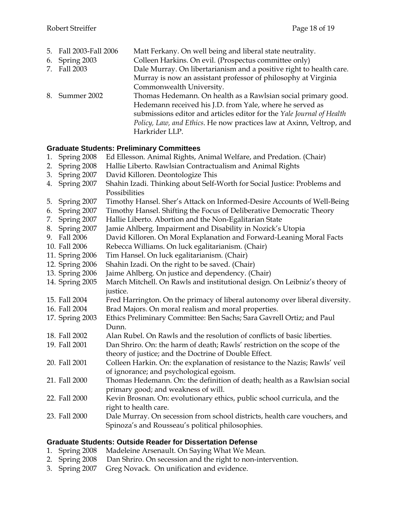| 5. Fall 2003-Fall 2006 | Matt Ferkany. On well being and liberal state neutrality.             |
|------------------------|-----------------------------------------------------------------------|
| 6. Spring 2003         | Colleen Harkins. On evil. (Prospectus committee only)                 |
| 7. Fall 2003           | Dale Murray. On libertarianism and a positive right to health care.   |
|                        | Murray is now an assistant professor of philosophy at Virginia        |
|                        | Commonwealth University.                                              |
| 8. Summer 2002         | Thomas Hedemann. On health as a Rawlsian social primary good.         |
|                        | Hedemann received his J.D. from Yale, where he served as              |
|                        | submissions editor and articles editor for the Yale Journal of Health |
|                        | Policy, Law, and Ethics. He now practices law at Axinn, Veltrop, and  |
|                        | Harkrider LLP.                                                        |

### **Graduate Students: Preliminary Committees**

- 1. Spring 2008 Ed Ellesson. Animal Rights, Animal Welfare, and Predation. (Chair)
- 2. Spring 2008 Hallie Liberto. Rawlsian Contractualism and Animal Rights
- 3. Spring 2007 David Killoren. Deontologize This
- 4. Spring 2007 Shahin Izadi. Thinking about Self-Worth for Social Justice: Problems and Possibilities
- 5. Spring 2007 Timothy Hansel. Sher's Attack on Informed-Desire Accounts of Well-Being
- 6. Spring 2007 Timothy Hansel. Shifting the Focus of Deliberative Democratic Theory
- 7. Spring 2007 Hallie Liberto. Abortion and the Non-Egalitarian State
- 8. Spring 2007 Jamie Ahlberg. Impairment and Disability in Nozick's Utopia
- 9. Fall 2006 David Killoren. On Moral Explanation and Forward-Leaning Moral Facts
- 10. Fall 2006 Rebecca Williams. On luck egalitarianism. (Chair)
- 11. Spring 2006 Tim Hansel. On luck egalitarianism. (Chair)
- 12. Spring 2006 Shahin Izadi. On the right to be saved. (Chair)
- 13. Spring 2006 Jaime Ahlberg. On justice and dependency. (Chair)
- 14. Spring 2005 March Mitchell. On Rawls and institutional design. On Leibniz's theory of justice.
- 15. Fall 2004 Fred Harrington. On the primacy of liberal autonomy over liberal diversity.
- 16. Fall 2004 Brad Majors. On moral realism and moral properties.
- 17. Spring 2003 Ethics Preliminary Committee: Ben Sachs; Sara Gavrell Ortiz; and Paul Dunn.
- 18. Fall 2002 Alan Rubel. On Rawls and the resolution of conflicts of basic liberties.
- 19. Fall 2001 Dan Shriro. On: the harm of death; Rawls' restriction on the scope of the theory of justice; and the Doctrine of Double Effect.
- 20. Fall 2001 Colleen Harkin. On: the explanation of resistance to the Nazis; Rawls' veil of ignorance; and psychological egoism.
- 21. Fall 2000 Thomas Hedemann. On: the definition of death; health as a Rawlsian social primary good; and weakness of will.
- 22. Fall 2000 Kevin Brosnan. On: evolutionary ethics, public school curricula, and the right to health care.
- 23. Fall 2000 Dale Murray. On secession from school districts, health care vouchers, and Spinoza's and Rousseau's political philosophies.

### **Graduate Students: Outside Reader for Dissertation Defense**

- 1. Spring 2008 Madeleine Arsenault. On Saying What We Mean.
- 2. Spring 2008 Dan Shriro. On secession and the right to non-intervention.
- 3. Spring 2007 Greg Novack. On unification and evidence.